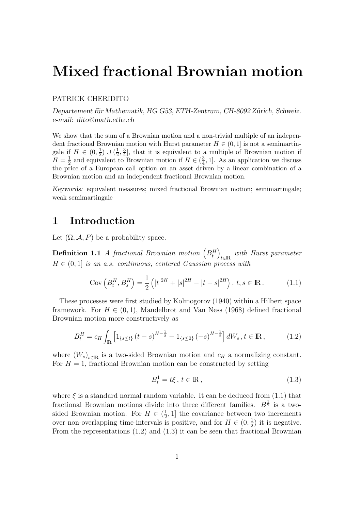## **Mixed fractional Brownian motion**

### PATRICK CHERIDITO

*Departement f¨ur Mathematik, HG G53, ETH-Zentrum, CH-8092 Z¨urich, Schweiz. e-mail: dito@math.ethz.ch*

We show that the sum of a Brownian motion and a non-trivial multiple of an independent fractional Brownian motion with Hurst parameter  $H \in (0, 1]$  is not a semimartingale if  $H \in (0, \frac{1}{2}) \cup (\frac{1}{2}, \frac{3}{4}]$ , that it is equivalent to a multiple of Brownian motion if  $H = \frac{1}{2}$  and equivalent to Brownian motion if  $H \in (\frac{3}{4}, 1]$ . As an application we discuss the price of a European call option on an asset driven by a linear combination of a Brownian motion and an independent fractional Brownian motion.

*Keywords:* equivalent measures; mixed fractional Brownian motion; semimartingale; weak semimartingale

### **1 Introduction**

Let  $(\Omega, \mathcal{A}, P)$  be a probability space.

**Definition 1.1** A fractional Brownian motion  $(B_t^H)_{t\in\mathbb{R}}$  with Hurst parameter  $H \in (0, 1]$  is an a.s. continuous, centered Gaussian process with

$$
Cov\left(B_t^H, B_s^H\right) = \frac{1}{2} \left( |t|^{2H} + |s|^{2H} - |t - s|^{2H} \right), \, t, s \in \mathbb{R} \,. \tag{1.1}
$$

These processes were first studied by Kolmogorov (1940) within a Hilbert space framework. For  $H \in (0, 1)$ , Mandelbrot and Van Ness (1968) defined fractional Brownian motion more constructively as

$$
B_t^H = c_H \int_{\mathbb{R}} \left[ 1_{\{s \le t\}} \left( t - s \right)^{H - \frac{1}{2}} - 1_{\{s \le 0\}} \left( -s \right)^{H - \frac{1}{2}} \right] dW_s \,, t \in \mathbb{R} \,, \tag{1.2}
$$

where  $(W_s)_{s\in\mathbb{R}}$  is a two-sided Brownian motion and  $c_H$  a normalizing constant. For  $H = 1$ , fractional Brownian motion can be constructed by setting

$$
B_t^1 = t\xi, \ t \in \mathbb{R},\tag{1.3}
$$

where  $\xi$  is a standard normal random variable. It can be deduced from (1.1) that fractional Brownian motions divide into three different families.  $B^{\frac{1}{2}}$  is a twosided Brownian motion. For  $H \in (\frac{1}{2}, 1]$  the covariance between two increments over non-overlapping time-intervals is positive, and for  $H \in (0, \frac{1}{2})$  it is negative. From the representations (1.2) and (1.3) it can be seen that fractional Brownian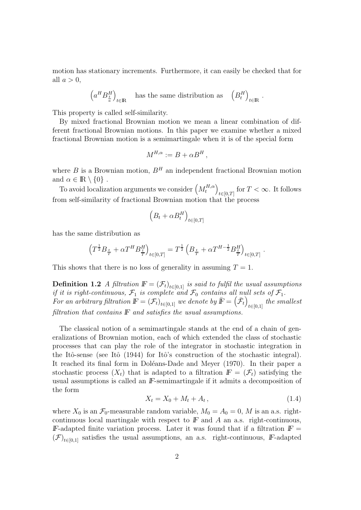motion has stationary increments. Furthermore, it can easily be checked that for all  $a > 0$ .

$$
\left(a^H B^H_{\frac{t}{a}}\right)_{t\in{\rm I\mskip -3.5mu R}\!} \quad\hbox{has the same distribution as}\quad \left(B^H_t\right)_{t\in{\rm I\mskip -3.5mu R}\!}.
$$

This property is called self-similarity.

By mixed fractional Brownian motion we mean a linear combination of different fractional Brownian motions. In this paper we examine whether a mixed fractional Brownian motion is a semimartingale when it is of the special form

$$
M^{H,\alpha} := B + \alpha B^H,
$$

where B is a Brownian motion,  $B<sup>H</sup>$  an independent fractional Brownian motion and  $\alpha \in \mathbb{R} \setminus \{0\}$ .

To avoid localization arguments we consider  $\left(M_t^{H,\alpha}\right)$  $t \in [0,T]$  for  $T < \infty$ . It follows from self-similarity of fractional Brownian motion that the process

$$
\left(B_t + \alpha B_t^H\right)_{t \in [0,T]}
$$

has the same distribution as

$$
\left(T^{\frac{1}{2}}B_{\frac{t}{T}} + \alpha T^{H}B_{\frac{t}{T}}^{H}\right)_{t \in [0,T]} = T^{\frac{1}{2}}\left(B_{\frac{t}{T}} + \alpha T^{H-\frac{1}{2}}B_{\frac{t}{T}}^{H}\right)_{t \in [0,T]}
$$

This shows that there is no loss of generality in assuming  $T = 1$ .

**Definition 1.2** A filtration  $\mathbb{F} = (\mathcal{F}_t)_{t \in [0,1]}$  is said to fulfil the usual assumptions if it is right-continuous,  $\mathcal{F}_1$  is complete and  $\mathcal{F}_0$  contains all null sets of  $\mathcal{F}_1$ . For an arbitrary filtration  $\mathbb{F} = (\mathcal{F}_t)_{t \in [0,1]}$  we denote by  $\bar{\mathbb{F}} = (\bar{\mathcal{F}}_t)$  $t \in [0,1]$  the smallest filtration that contains *F* and satisfies the usual assumptions.

The classical notion of a semimartingale stands at the end of a chain of generalizations of Brownian motion, each of which extended the class of stochastic processes that can play the role of the integrator in stochastic integration in the Itô-sense (see Itô (1944) for Itô's construction of the stochastic integral). It reached its final form in Doléans-Dade and Meyer (1970). In their paper a stochastic process  $(X_t)$  that is adapted to a filtration  $F = (\mathcal{F}_t)$  satisfying the usual assumptions is called an *lF*-semimartingale if it admits a decomposition of the form

$$
X_t = X_0 + M_t + A_t, \t\t(1.4)
$$

.

where  $X_0$  is an  $\mathcal{F}_0$ -measurable random variable,  $M_0 = A_0 = 0$ , M is an a.s. rightcontinuous local martingale with respect to  $F$  and  $A$  an a.s. right-continuous, *F*-adapted finite variation process. Later it was found that if a filtration  $F =$  $(\mathcal{F})_{t\in[0,1]}$  satisfies the usual assumptions, an a.s. right-continuous, *F*-adapted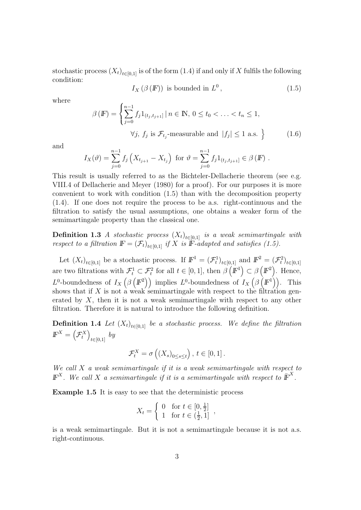stochastic process  $(X_t)_{t\in[0,1]}$  is of the form (1.4) if and only if X fulfils the following condition:

$$
I_X(\beta(F)) \text{ is bounded in } L^0,
$$
\n
$$
(1.5)
$$

where

$$
\beta(E) = \left\{ \sum_{j=0}^{n-1} f_j 1_{(t_j, t_{j+1}]} \, | \, n \in \mathbb{N}, \, 0 \le t_0 < \ldots < t_n \le 1, \right. \\
\forall j, \, f_j \text{ is } \mathcal{F}_{t_j}\text{-measurable and } |f_j| \le 1 \text{ a.s. } \right\} \tag{1.6}
$$

and

$$
I_X(\vartheta) = \sum_{j=0}^{n-1} f_j \left( X_{t_{j+1}} - X_{t_j} \right) \text{ for } \vartheta = \sum_{j=0}^{n-1} f_j 1_{(t_j, t_{j+1}]} \in \beta \left( \mathbb{F} \right).
$$

This result is usually referred to as the Bichteler-Dellacherie theorem (see e.g. VIII.4 of Dellacherie and Meyer (1980) for a proof). For our purposes it is more convenient to work with condition (1.5) than with the decomposition property (1.4). If one does not require the process to be a.s. right-continuous and the filtration to satisfy the usual assumptions, one obtains a weaker form of the semimartingale property than the classical one.

**Definition 1.3** A stochastic process  $(X_t)_{t\in[0,1]}$  is a weak semimartingale with respect to a filtration  $\mathbb{F} = (\mathcal{F}_t)_{t \in [0,1]}$  if X is **F**-adapted and satisfies (1.5).

Let  $(X_t)_{t \in [0,1]}$  be a stochastic process. If  $F^1 = (\mathcal{F}_t^1)_{t \in [0,1]}$  and  $F^2 = (\mathcal{F}_t^2)_{t \in [0,1]}$ are two filtrations with  $\mathcal{F}_t^1 \subset \mathcal{F}_t^2$  for all  $t \in [0,1]$ , then  $\beta \left(\mathbb{F}^1\right) \subset \beta \left(\mathbb{F}^2\right)$ . Hence,  $L^0$ -boundedness of  $I_X(\beta(\mathbb{F}^2))$  implies  $L^0$ -boundedness of  $I_X(\beta(\mathbb{F}^1))$ . This shows that if X is not a weak semimartingale with respect to the filtration generated by  $X$ , then it is not a weak semimartingale with respect to any other filtration. Therefore it is natural to introduce the following definition.

**Definition 1.4** Let  $(X_t)_{t\in[0,1]}$  be a stochastic process. We define the filtration  $\mathbb{F}^X = \left(\mathcal{F}^X_t\right)_{t \in [0,1]}$  by

$$
\mathcal{F}_t^X = \sigma\left(\left(X_s\right)_{0 \le s \le t}\right), \, t \in [0,1].
$$

We call  $X$  a weak semimartingale if it is a weak semimartingale with respect to  $\mathbb{F}^{X}$ . We call X a semimartingale if it is a semimartingale with respect to  $\overline{\mathbb{F}}^{X}$ .

**Example 1.5** It is easy to see that the deterministic process

$$
X_t = \begin{cases} 0 & \text{for } t \in [0, \frac{1}{2}] \\ 1 & \text{for } t \in (\frac{1}{2}, 1] \end{cases}
$$

is a weak semimartingale. But it is not a semimartingale because it is not a.s. right-continuous.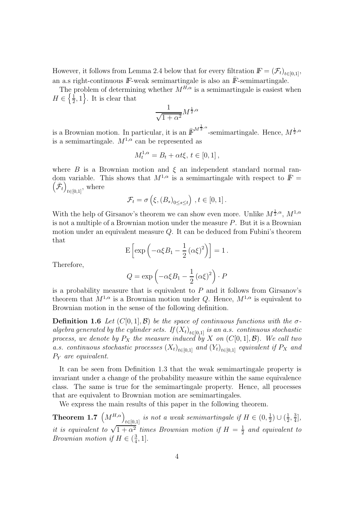However, it follows from Lemma 2.4 below that for every filtration  $\mathbf{F} = (\mathcal{F}_t)_{t \in [0,1]},$ an a.s right-continuous  $\mathbb{F}\text{-weak semimartale}$  is also an  $\overline{\mathbb{F}}\text{-semimartale}$ .

The problem of determining whether  $M^{H,\alpha}$  is a semimartingale is easiest when  $H \in \left\{\frac{1}{2}, 1\right\}$ . It is clear that

$$
\frac{1}{\sqrt{1+\alpha^2}}M^{\frac{1}{2},\alpha}
$$

is a Brownian motion. In particular, it is an  $\bar{F}^{M^{\frac{1}{2},\alpha}}$ -semimartingale. Hence,  $M^{\frac{1}{2},\alpha}$ is a semimartingale.  $M^{1,\alpha}$  can be represented as

$$
M_t^{1,\alpha} = B_t + \alpha t \xi, \, t \in [0,1],
$$

where B is a Brownian motion and  $\xi$  an independent standard normal random variable. This shows that  $M^{1,\alpha}$  is a semimartingale with respect to  $\bar{F} = (\bar{\mathcal{F}})$  where  $\left(\bar{\mathcal{F}}_t\right)_{t\in[0,1]},$  where

$$
\mathcal{F}_t = \sigma\left(\xi, \left(B_s\right)_{0 \le s \le t}\right), t \in [0, 1].
$$

With the help of Girsanov's theorem we can show even more. Unlike  $M^{\frac{1}{2},\alpha}$ ,  $M^{1,\alpha}$ is not a multiple of a Brownian motion under the measure  $P$ . But it is a Brownian motion under an equivalent measure Q. It can be deduced from Fubini's theorem that

$$
E\left[\exp\left(-\alpha\xi B_1 - \frac{1}{2}(\alpha\xi)^2\right)\right] = 1.
$$

Therefore,

$$
Q = \exp\left(-\alpha \xi B_1 - \frac{1}{2} (\alpha \xi)^2\right) \cdot P
$$

is a probability measure that is equivalent to  $P$  and it follows from Girsanov's theorem that  $M^{1,\alpha}$  is a Brownian motion under Q. Hence,  $M^{1,\alpha}$  is equivalent to Brownian motion in the sense of the following definition.

**Definition 1.6** Let  $(C[0, 1], \mathcal{B})$  be the space of continuous functions with the  $\sigma$ algebra generated by the cylinder sets. If  $(X_t)_{t\in[0,1]}$  is an a.s. continuous stochastic process, we denote by  $P_X$  the measure induced by X on  $(C[0, 1], \mathcal{B})$ . We call two a.s. continuous stochastic processes  $(X_t)_{t\in[0,1]}$  and  $(Y_t)_{t\in[0,1]}$  equivalent if  $P_X$  and P<sup>Y</sup> are equivalent.

It can be seen from Definition 1.3 that the weak semimartingale property is invariant under a change of the probability measure within the same equivalence class. The same is true for the semimartingale property. Hence, all processes that are equivalent to Brownian motion are semimartingales.

We express the main results of this paper in the following theorem.

**Theorem 1.7**  $(M^{H,\alpha})_{t\in[0,1]}$  is not a weak semimartingale if  $H \in (0, \frac{1}{2}) \cup (\frac{1}{2}, \frac{3}{4}],$ it is equivalent to  $\sqrt{1+\alpha^2}$  times Brownian motion if  $H = \frac{1}{2}$  and equivalent to Brownian motion if  $H \in (\frac{3}{4}, 1]$ .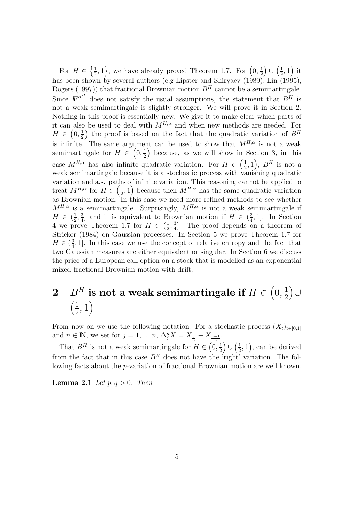For  $H \in \left\{\frac{1}{2}, 1\right\}$ , we have already proved Theorem 1.7. For  $\left(0, \frac{1}{2}\right) \cup \left(\frac{1}{2}, 1\right)$  it has been shown by several authors (e.g Lipster and Shiryaev (1989), Lin (1995), Rogers (1997)) that fractional Brownian motion  $B<sup>H</sup>$  cannot be a semimartingale. Since  $\mathbb{F}^{B^H}$  does not satisfy the usual assumptions, the statement that  $B^H$  is not a weak semimartingale is slightly stronger. We will prove it in Section 2. Nothing in this proof is essentially new. We give it to make clear which parts of it can also be used to deal with  $M^{H,\alpha}$  and when new methods are needed. For  $H \in (0, \frac{1}{2})$  the proof is based on the fact that the quadratic variation of  $B^H$ is infinite. The same argument can be used to show that  $M^{H,\alpha}$  is not a weak semimartingale for  $H \in (0, \frac{1}{2})$  because, as we will show in Section 3, in this case  $M^{H,\alpha}$  has also infinite quadratic variation. For  $H \in \left(\frac{1}{2},1\right)$ ,  $B^H$  is not a weak semimartingale because it is a stochastic process with vanishing quadratic variation and a.s. paths of infinite variation. This reasoning cannot be applied to treat  $M^{H,\alpha}$  for  $H \in \left(\frac{1}{2},1\right)$  because then  $M^{H,\alpha}$  has the same quadratic variation as Brownian motion. In this case we need more refined methods to see whether  $M^{H,\alpha}$  is a semimartingale. Surprisingly,  $M^{H,\alpha}$  is not a weak semimartingale if  $H \in (\frac{1}{2}, \frac{3}{4}]$  and it is equivalent to Brownian motion if  $H \in (\frac{3}{4}, 1]$ . In Section 4 we prove Theorem 1.7 for  $H \in (\frac{1}{2}, \frac{3}{4}]$ . The proof depends on a theorem of Stricker (1984) on Gaussian processes. In Section 5 we prove Theorem 1.7 for  $H \in (\frac{3}{4}, 1]$ . In this case we use the concept of relative entropy and the fact that two Gaussian measures are either equivalent or singular. In Section 6 we discuss the price of a European call option on a stock that is modelled as an exponential mixed fractional Brownian motion with drift.

### 2  $B^H$  is not a weak semimartingale if  $H \in \left(0, \frac{1}{2}\right)$ 2 ∪  $\left(\frac{1}{2}, 1\right)$

From now on we use the following notation. For a stochastic process  $(X_t)_{t\in[0,1]}$ and  $n \in \mathbb{N}$ , we set for  $j = 1, \ldots n$ ,  $\Delta_j^n X = X_{\frac{j}{n}} - X_{\frac{j-1}{n}}$ .

That  $B^H$  is not a weak semimartingale for  $H \in \left(0, \frac{1}{2}\right) \cup \left(\frac{1}{2}, 1\right)$ , can be derived from the fact that in this case  $B<sup>H</sup>$  does not have the 'right' variation. The following facts about the p-variation of fractional Brownian motion are well known.

**Lemma 2.1** Let  $p, q > 0$ . Then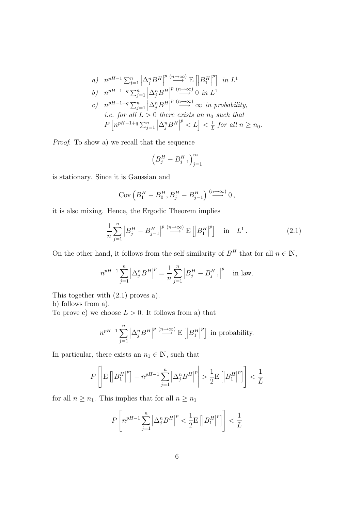a) 
$$
n^{pH-1} \sum_{j=1}^{n} \left| \Delta_{j}^{n} B^{H} \right|^{p} \stackrel{(n \to \infty)}{\longrightarrow} E \left[ \left| B_{1}^{H} \right|^{p} \right]
$$
 in  $L^{1}$   
\nb)  $n^{pH-1-q} \sum_{j=1}^{n} \left| \Delta_{j}^{n} B^{H} \right|^{p} \stackrel{(n \to \infty)}{\longrightarrow} 0$  in  $L^{1}$   
\nc)  $n^{pH-1+q} \sum_{j=1}^{n} \left| \Delta_{j}^{n} B^{H} \right|^{p} \stackrel{(n \to \infty)}{\longrightarrow} \infty$  in probability,  
\ni.e. for all  $L > 0$  there exists an  $n_{0}$  such that  
\n $P \left[ n^{pH-1+q} \sum_{j=1}^{n} \left| \Delta_{j}^{n} B^{H} \right|^{p} < L \right] < \frac{1}{L}$  for all  $n \ge n_{0}$ .

Proof. To show a) we recall that the sequence

$$
\left(B_j^H - B_{j-1}^H\right)_{j=1}^{\infty}
$$

is stationary. Since it is Gaussian and

$$
Cov\left(B_1^H - B_0^H, B_j^H - B_{j-1}^H\right) \stackrel{(n \to \infty)}{\longrightarrow} 0,
$$

it is also mixing. Hence, the Ergodic Theorem implies

$$
\frac{1}{n}\sum_{j=1}^{n} \left| B_j^H - B_{j-1}^H \right|^p \stackrel{(n \to \infty)}{\longrightarrow} \mathcal{E}\left[ \left| B_1^H \right|^p \right] \quad \text{in} \quad L^1. \tag{2.1}
$$

On the other hand, it follows from the self-similarity of  $B<sup>H</sup>$  that for all  $n \in \mathbb{N}$ ,

$$
n^{pH-1} \sum_{j=1}^{n} \left| \Delta_j^n B^H \right|^p = \frac{1}{n} \sum_{j=1}^{n} \left| B_j^H - B_{j-1}^H \right|^p \text{ in law.}
$$

This together with (2.1) proves a).

b) follows from a).

To prove c) we choose  $L > 0$ . It follows from a) that

$$
n^{pH-1} \sum_{j=1}^{n} \left| \Delta_j^n B^H \right|^{p} \stackrel{(n \to \infty)}{\longrightarrow} \mathcal{E}\left[ \left| B_1^H \right|^p \right] \text{ in probability.}
$$

In particular, there exists an  $n_1 \in \mathbb{N}$ , such that

$$
P\left[\left|\mathbf{E}\left[\left|B_1^H\right|^p\right]-n^{pH-1}\sum_{j=1}^n\left|\Delta_j^nB^H\right|^p\right|>\frac{1}{2}\mathbf{E}\left[\left|B_1^H\right|^p\right]\right]<\frac{1}{L}
$$

for all  $n \geq n_1$ . This implies that for all  $n \geq n_1$ 

$$
P\left[n^{pH-1}\sum_{j=1}^{n}\left|\Delta_{j}^{n}B^{H}\right|^{p}<\frac{1}{2}\mathrm{E}\left[\left|B_{1}^{H}\right|^{p}\right]\right]<\frac{1}{L}
$$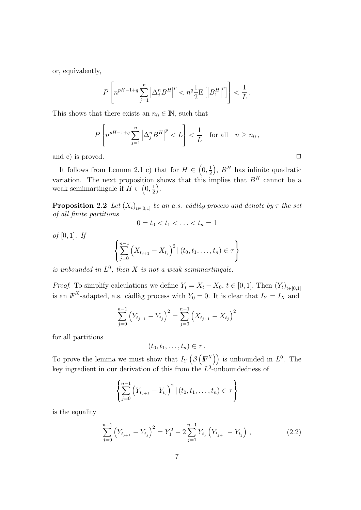or, equivalently,

$$
P\left[n^{pH-1+q}\sum_{j=1}^n\left|\Delta_j^nB^H\right|^p < n^q\frac{1}{2}\mathrm{E}\left[\left|B_1^H\right|^p\right]\right] < \frac{1}{L}.
$$

This shows that there exists an  $n_0 \in \mathbb{N}$ , such that

$$
P\left[n^{pH-1+q}\sum_{j=1}^{n}\left|\Delta_{j}^{n}B^{H}\right|^{p} < L\right] < \frac{1}{L} \quad \text{for all} \quad n \ge n_{0},
$$

and c) is proved.  $\Box$ 

It follows from Lemma 2.1 c) that for  $H \in \left(0, \frac{1}{2}\right)$ ,  $B<sup>H</sup>$  has infinite quadratic variation. The next proposition shows that this implies that  $B<sup>H</sup>$  cannot be a weak semimartingale if  $H \in \left(0, \frac{1}{2}\right)$ .

**Proposition 2.2** Let  $(X_t)_{t\in[0,1]}$  be an a.s. càdlàg process and denote by  $\tau$  the set of all finite partitions

$$
0 = t_0 < t_1 < \ldots < t_n = 1
$$

of  $[0, 1]$ . If

$$
\left\{\sum_{j=0}^{n-1} (X_{t_{j+1}} - X_{t_j})^2 | (t_0, t_1, \dots, t_n) \in \tau \right\}
$$

is unbounded in  $L^0$ , then X is not a weak semimartingale.

*Proof.* To simplify calculations we define  $Y_t = X_t - X_0$ ,  $t \in [0, 1]$ . Then  $(Y_t)_{t \in [0, 1]}$ is an  $\mathbb{F}^{X}$ -adapted, a.s. càdlàg process with  $Y_0 = 0$ . It is clear that  $I_Y = I_X$  and

$$
\sum_{j=0}^{n-1} (Y_{t_{j+1}} - Y_{t_j})^2 = \sum_{j=0}^{n-1} (X_{t_{j+1}} - X_{t_j})^2
$$

for all partitions

$$
(t_0,t_1,\ldots,t_n)\in\tau.
$$

To prove the lemma we must show that  $I_Y(\beta(F^X))$  is unbounded in  $L^0$ . The key ingredient in our derivation of this from the  $L^0$ -unboundedness of

$$
\left\{\sum_{j=0}^{n-1} (Y_{t_{j+1}} - Y_{t_j})^2 | (t_0, t_1, \dots, t_n) \in \tau \right\}
$$

is the equality

$$
\sum_{j=0}^{n-1} (Y_{t_{j+1}} - Y_{t_j})^2 = Y_1^2 - 2\sum_{j=1}^{n-1} Y_{t_j} (Y_{t_{j+1}} - Y_{t_j}), \qquad (2.2)
$$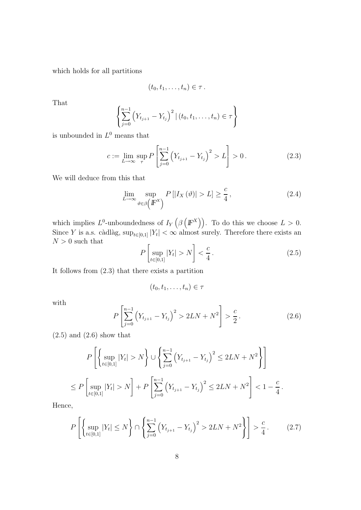which holds for all partitions

$$
(t_0,t_1,\ldots,t_n)\in\tau\,.
$$

That

$$
\left\{\sum_{j=0}^{n-1} (Y_{t_{j+1}} - Y_{t_j})^2 | (t_0, t_1, \dots, t_n) \in \tau \right\}
$$

is unbounded in  $L^0$  means that

$$
c := \lim_{L \to \infty} \sup_{\tau} P\left[\sum_{j=0}^{n-1} \left(Y_{t_{j+1}} - Y_{t_j}\right)^2 > L\right] > 0. \tag{2.3}
$$

We will deduce from this that

$$
\lim_{L \to \infty} \sup_{\vartheta \in \beta \left( \mathbb{F}^X \right)} P\left[ |I_X(\vartheta)| > L \right] \ge \frac{c}{4},\tag{2.4}
$$

which implies  $L^0$ -unboundedness of  $I_Y(\beta(\mathbb{F}^X))$ . To do this we choose  $L > 0$ . Since Y is a.s. càdlàg,  $\sup_{t\in[0,1]} |Y_t| < \infty$  almost surely. Therefore there exists an  $N > 0$  such that

$$
P\left[\sup_{t\in[0,1]}|Y_t| > N\right] < \frac{c}{4}.
$$
\n(2.5)

It follows from (2.3) that there exists a partition

$$
(t_0, t_1, \ldots, t_n) \in \tau
$$

with

$$
P\left[\sum_{j=0}^{n-1} \left(Y_{t_{j+1}} - Y_{t_j}\right)^2 > 2LN + N^2\right] > \frac{c}{2}.
$$
 (2.6)

 $(2.5)$  and  $(2.6)$  show that

$$
P\left[\left\{\sup_{t\in[0,1]} |Y_t| > N\right\} \cup \left\{\sum_{j=0}^{n-1} (Y_{t_{j+1}} - Y_{t_j})^2 \le 2LN + N^2\right\}\right]
$$
  

$$
\le P\left[\sup_{t\in[0,1]} |Y_t| > N\right] + P\left[\sum_{j=0}^{n-1} (Y_{t_{j+1}} - Y_{t_j})^2 \le 2LN + N^2\right] < 1 - \frac{c}{4}.
$$

Hence,

$$
P\left[\left\{\sup_{t\in[0,1]}|Y_t|\leq N\right\}\cap\left\{\sum_{j=0}^{n-1}\left(Y_{t_{j+1}}-Y_{t_j}\right)^2>2LN+N^2\right\}\right]>\frac{c}{4}.
$$
 (2.7)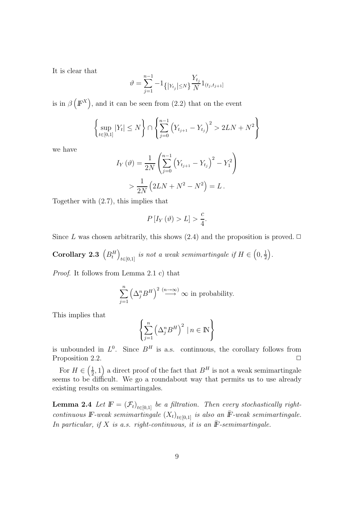It is clear that

$$
\vartheta = \sum_{j=1}^{n-1} -1_{\left\{\left|Y_{t_j}\right| \leq N\right\}}\frac{Y_{t_j}}{N}1_{(t_j,t_{j+1}]}
$$

is in  $\beta(F^X)$ , and it can be seen from (2.2) that on the event

$$
\left\{\sup_{t\in[0,1]}|Y_t|\leq N\right\}\cap\left\{\sum_{j=0}^{n-1}\left(Y_{t_{j+1}}-Y_{t_j}\right)^2>2LN+N^2\right\}
$$

we have

$$
I_Y(\vartheta) = \frac{1}{2N} \left( \sum_{j=0}^{n-1} (Y_{t_{j+1}} - Y_{t_j})^2 - Y_1^2 \right)
$$
  
> 
$$
\frac{1}{2N} (2LN + N^2 - N^2) = L.
$$

Together with (2.7), this implies that

$$
P\left[I_Y\left(\vartheta\right)>L\right] > \frac{c}{4}.
$$

Since L was chosen arbitrarily, this shows (2.4) and the proposition is proved.  $\Box$ 

**Corollary 2.3**  $(B_t^H)_{t \in [0,1]}$  is not a weak semimartingale if  $H \in \left(0, \frac{1}{2}\right)$ .

Proof. It follows from Lemma 2.1 c) that

$$
\sum_{j=1}^{n} \left(\Delta_j^n B^H\right)^2 \stackrel{(n \to \infty)}{\longrightarrow} \infty
$$
 in probability.

This implies that

$$
\left\{ \sum_{j=1}^{n} \left( \Delta_{j}^{n} B^{H} \right)^{2} | n \in \mathbb{N} \right\}
$$

is unbounded in  $L^0$ . Since  $B^H$  is a.s. continuous, the corollary follows from Proposition 2.2.

For  $H \in \left(\frac{1}{2}, 1\right)$  a direct proof of the fact that  $B^H$  is not a weak semimartingale seems to be difficult. We go a roundabout way that permits us to use already existing results on semimartingales.

**Lemma 2.4** Let  $\mathbb{F} = (\mathcal{F}_t)_{t \in [0,1]}$  be a filtration. Then every stochastically rightcontinuous *IF*-weak semimartingale  $(X_t)_{t\in[0,1]}$  is also an  $\overline{F}$ -weak semimartingale. In particular, if  $X$  is a.s. right-continuous, it is an  $\bar{F}$ -semimartingale.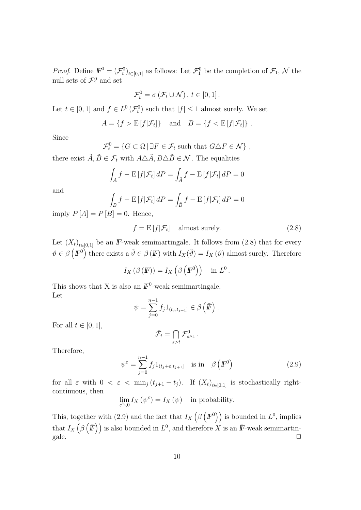*Proof.* Define  $\mathbb{F}^0 = (\mathcal{F}^0_t)_{t \in [0,1]}$  as follows: Let  $\mathcal{F}^0_1$  be the completion of  $\mathcal{F}_1$ , N the null sets of  $\mathcal{F}_1^0$  and set

$$
\mathcal{F}_t^0 = \sigma\left(\mathcal{F}_t \cup \mathcal{N}\right), \, t \in [0,1]\,.
$$

Let  $t \in [0,1]$  and  $f \in L^0(\mathcal{F}_t^0)$  such that  $|f| \leq 1$  almost surely. We set

$$
A = \{f > E[f|\mathcal{F}_t]\} \text{ and } B = \{f < E[f|\mathcal{F}_t]\} .
$$

Since

 $\mathcal{F}_t^0 = \{ G \subset \Omega \mid \exists F \in \mathcal{F}_t \text{ such that } G \triangle F \in \mathcal{N} \},\$ 

there exist  $\tilde{A}, \tilde{B} \in \mathcal{F}_t$  with  $A \triangle \tilde{A}, B \triangle \tilde{B} \in \mathcal{N}$ . The equalities

$$
\int_A f - \mathbf{E}[f|\mathcal{F}_t] dP = \int_{\tilde{A}} f - \mathbf{E}[f|\mathcal{F}_t] dP = 0
$$

and

$$
\int_{B} f - \mathcal{E}[f|\mathcal{F}_{t}] dP = \int_{\tilde{B}} f - \mathcal{E}[f|\mathcal{F}_{t}] dP = 0
$$

imply  $P[A] = P[B] = 0$ . Hence,

$$
f = \mathcal{E}[f|\mathcal{F}_t] \quad \text{almost surely.} \tag{2.8}
$$

Let  $(X_t)_{t\in[0,1]}$  be an *IF*-weak semimartingale. It follows from (2.8) that for every  $\vartheta \in \beta \left( \mathbb{F}^0 \right)$  there exists a  $\tilde{\vartheta} \in \beta \left( \mathbb{F} \right)$  with  $I_X(\tilde{\vartheta}) = I_X(\vartheta)$  almost surely. Therefore

$$
I_X(\beta(F)) = I_X(\beta(F^0)) \text{ in } L^0.
$$

This shows that X is also an  $\mathbb{F}^0$ -weak semimartingale. Let

$$
\psi = \sum_{j=0}^{n-1} f_j 1_{(t_j,t_{j+1}]} \in \beta \left( \bar{F} \right) .
$$

For all  $t \in [0, 1]$ ,

$$
\bar{\mathcal{F}}_t = \bigcap_{s>t} \mathcal{F}_{s\wedge 1}^0\,.
$$

Therefore,

$$
\psi^{\varepsilon} = \sum_{j=0}^{n-1} f_j 1_{(t_j + \varepsilon, t_{j+1}]} \quad \text{is in} \quad \beta \left( \mathbb{F}^0 \right) \tag{2.9}
$$

for all  $\varepsilon$  with  $0 < \varepsilon < \min_j (t_{j+1} - t_j)$ . If  $(X_t)_{t \in [0,1]}$  is stochastically rightcontinuous, then

$$
\lim_{\varepsilon \searrow 0} I_X \left( \psi^{\varepsilon} \right) = I_X \left( \psi \right) \quad \text{in probability.}
$$

This, together with (2.9) and the fact that  $I_X(\beta(F^0))$  is bounded in  $L^0$ , implies that  $I_X(\beta(\bar{F}))$  is also bounded in  $L^0$ , and therefore X is an  $\bar{F}$ -weak semimartin- $\Box$  gale.  $\Box$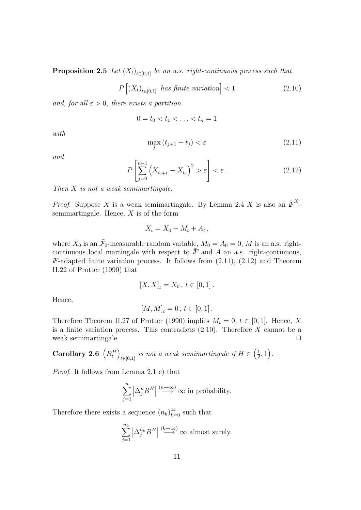**Proposition 2.5** Let  $(X_t)_{t\in[0,1]}$  be an a.s. right-continuous process such that

$$
P\left[\left(X_t\right)_{t\in[0,1]}\text{ has finite variation}\right] < 1\tag{2.10}
$$

and, for all  $\varepsilon > 0$ , there exists a partition

$$
0 = t_0 < t_1 < \ldots < t_n = 1
$$

with

$$
\max_{j} (t_{j+1} - t_j) < \varepsilon \tag{2.11}
$$

and

$$
P\left[\sum_{j=0}^{n-1} \left(X_{t_{j+1}} - X_{t_j}\right)^2 > \varepsilon\right] < \varepsilon.
$$
 (2.12)

Then  $X$  is not a weak semimartingale.

*Proof.* Suppose X is a weak semimartingale. By Lemma 2.4 X is also an  $\overline{F}^X$ semimartingale. Hence,  $X$  is of the form

$$
X_t = X_0 + M_t + A_t,
$$

where  $X_0$  is an  $\bar{\mathcal{F}}_0$ -measurable random variable,  $M_0 = A_0 = 0$ , M is an a.s. rightcontinuous local martingale with respect to  $\overline{F}$  and A an a.s. right-continuous,  $\overline{F}$ -adapted finite variation process. It follows from (2.11), (2.12) and Theorem II.22 of Protter (1990) that

$$
[X,X]_t = X_0 \, , \, t \in [0,1] \, .
$$

Hence,

$$
\left[ M,M\right] _{t}=0\,,\,t\in\left[ 0,1\right] .
$$

Therefore Theorem II.27 of Protter (1990) implies  $M_t = 0, t \in [0, 1]$ . Hence, X is a finite variation process. This contradicts  $(2.10)$ . Therefore X cannot be a weak semimartingale.

**Corollary 2.6**  $(B_t^H)_{t \in [0,1]}$  is not a weak semimartingale if  $H \in \left(\frac{1}{2}, 1\right)$ .

Proof. It follows from Lemma 2.1 c) that

$$
\sum_{j=1}^{n} \left| \Delta_j^n B^H \right| \stackrel{(n \to \infty)}{\longrightarrow} \infty \text{ in probability.}
$$

Therefore there exists a sequence  $(n_k)_{k=0}^{\infty}$  such that

$$
\sum_{j=1}^{n_k} \left| \Delta_j^{n_k} B^H \right| \stackrel{(k \to \infty)}{\longrightarrow} \infty \text{ almost surely.}
$$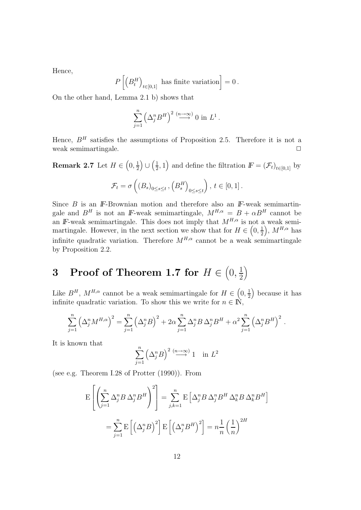Hence,

$$
P\left[\left(B_t^H\right)_{t\in[0,1]}\text{ has finite variation}\right]=0\,.
$$

On the other hand, Lemma 2.1 b) shows that

$$
\sum_{j=1}^{n} \left(\Delta_j^n B^H\right)^2 \stackrel{(n\to\infty)}{\longrightarrow} 0 \text{ in } L^1.
$$

Hence,  $B<sup>H</sup>$  satisfies the assumptions of Proposition 2.5. Therefore it is not a weak semimartingale.  $\Box$ 

**Remark 2.7** Let  $H \in (0, \frac{1}{2}) \cup (\frac{1}{2}, 1)$  and define the filtration  $F = (\mathcal{F}_t)_{t \in [0,1]}$  by

$$
\mathcal{F}_t = \sigma\left(\left(B_s\right)_{0 \le s \le t}, \left(B_s^H\right)_{0 \le s \le t}\right), \ t \in [0, 1].
$$

Since *B* is an *IF*-Brownian motion and therefore also an *IF*-weak semimartingale and  $B^H$  is not an *IF*-weak semimartingale,  $M^{H,\alpha} = B + \alpha B^H$  cannot be an *IF*-weak semimartingale. This does not imply that  $M^{H,\alpha}$  is not a weak semimartingale. However, in the next section we show that for  $H \in \left(0, \frac{1}{2}\right)$ ,  $M^{H,\alpha}$  has infinite quadratic variation. Therefore  $M^{H,\alpha}$  cannot be a weak semimartingale by Proposition 2.2.

#### **3** Proof of Theorem 1.7 for  $H \in \left(0, \frac{1}{2}\right)$ 2  $\setminus$

Like  $B^H$ ,  $M^{H,\alpha}$  cannot be a weak semimartingale for  $H \in \left(0, \frac{1}{2}\right)$  because it has infinite quadratic variation. To show this we write for  $n \in \mathbb{N}$ ,

$$
\sum_{j=1}^n \left(\Delta_j^n M^{H,\alpha}\right)^2 = \sum_{j=1}^n \left(\Delta_j^n B\right)^2 + 2\alpha \sum_{j=1}^n \Delta_j^n B \Delta_j^n B^H + \alpha^2 \sum_{j=1}^n \left(\Delta_j^n B^H\right)^2.
$$

It is known that

$$
\sum_{j=1}^{n} \left(\Delta_j^n B\right)^2 \stackrel{(n \to \infty)}{\longrightarrow} 1 \quad \text{in } L^2
$$

(see e.g. Theorem I.28 of Protter (1990)). From

$$
\mathcal{E}\left[\left(\sum_{j=1}^{n} \Delta_{j}^{n} B \Delta_{j}^{n} B^{H}\right)^{2}\right] = \sum_{j,k=1}^{n} \mathcal{E}\left[\Delta_{j}^{n} B \Delta_{j}^{n} B^{H} \Delta_{k}^{n} B \Delta_{k}^{n} B^{H}\right]
$$

$$
= \sum_{j=1}^{n} \mathcal{E}\left[\left(\Delta_{j}^{n} B\right)^{2}\right] \mathcal{E}\left[\left(\Delta_{j}^{n} B^{H}\right)^{2}\right] = n \frac{1}{n} \left(\frac{1}{n}\right)^{2H}
$$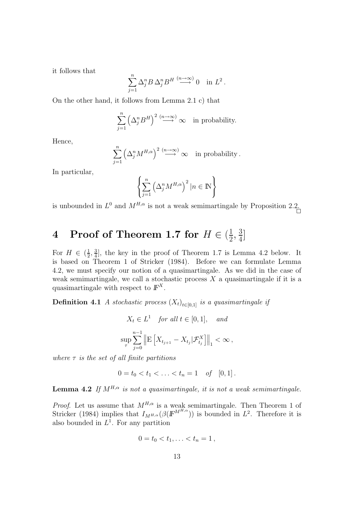it follows that

$$
\sum_{j=1}^n \Delta_j^n B \, \Delta_j^n B^H \stackrel{(n \to \infty)}{\longrightarrow} 0 \quad \text{in } L^2.
$$

On the other hand, it follows from Lemma 2.1 c) that

$$
\sum_{j=1}^{n} \left(\Delta_j^n B^H\right)^2 \stackrel{(n \to \infty)}{\longrightarrow} \infty \quad \text{in probability.}
$$

Hence,

$$
\sum_{j=1}^{n} \left(\Delta_j^{n} M^{H,\alpha}\right)^2 \stackrel{(n\to\infty)}{\longrightarrow} \infty \quad \text{in probability}.
$$

In particular,

$$
\left\{ \sum_{j=1}^{n} \left( \Delta_j^{n} M^{H,\alpha} \right)^2 | n \in \mathbb{N} \right\}
$$

is unbounded in  $L^0$  and  $M^{H,\alpha}$  is not a weak semimartingale by Proposition 2.2.

# **4** Proof of Theorem 1.7 for  $H \in (\frac{1}{2}, \frac{3}{4}]$

For  $H \in \left(\frac{1}{2}, \frac{3}{4}\right]$ , the key in the proof of Theorem 1.7 is Lemma 4.2 below. It is based on Theorem 1 of Stricker (1984). Before we can formulate Lemma 4.2, we must specify our notion of a quasimartingale. As we did in the case of weak semimartingale, we call a stochastic process  $X$  a quasimartingale if it is a quasimartingale with respect to  $\mathbb{F}^{X}$ .

**Definition 4.1** A stochastic process  $(X_t)_{t\in[0,1]}$  is a quasimartingale if

$$
X_t \in L^1 \quad \text{for all } t \in [0, 1], \quad \text{and}
$$
\n
$$
\sup_{\tau} \sum_{j=0}^{n-1} \left\| \mathbf{E} \left[ X_{t_{j+1}} - X_{t_j} | \mathcal{F}_{t_j}^X \right] \right\|_1 < \infty \,,
$$

where  $\tau$  is the set of all finite partitions

 $0 = t_0 < t_1 < \ldots < t_n = 1$  of  $[0, 1]$ .

**Lemma 4.2** If  $M^{H,\alpha}$  is not a quasimartingale, it is not a weak semimartingale.

*Proof.* Let us assume that  $M^{H,\alpha}$  is a weak semimartingale. Then Theorem 1 of Stricker (1984) implies that  $I_{M^{H,\alpha}}(\beta(F^{M^{H,\alpha}}))$  is bounded in  $L^2$ . Therefore it is also bounded in  $L^1$ . For any partition

$$
0 = t_0 < t_1, \ldots < t_n = 1 \,,
$$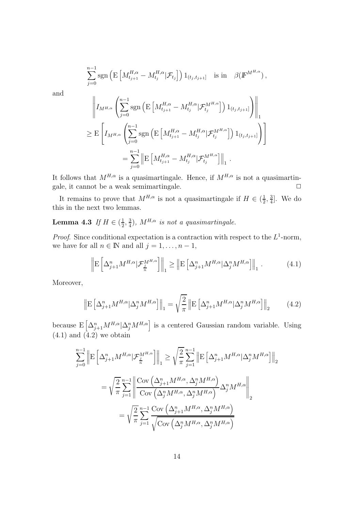$$
\sum_{j=0}^{n-1} \text{sgn}\left(\text{E}\left[M_{t_{j+1}}^{H,\alpha} - M_{t_j}^{H,\alpha} | \mathcal{F}_{t_j}\right]\right) 1_{(t_j,t_{j+1}]} \text{ is in } \beta(\mathbb{F}^{M^{H,\alpha}}),
$$

and

$$
\left\| I_{M^{H,\alpha}} \left( \sum_{j=0}^{n-1} \text{sgn} \left( \mathbf{E} \left[ M_{t_{j+1}}^{H,\alpha} - M_{t_j}^{H,\alpha} | \mathcal{F}_{t_j}^{M^{H,\alpha}} \right] \right) 1_{(t_j,t_{j+1}]} \right) \right\|_1
$$
  
\n
$$
\geq \mathbf{E} \left[ I_{M^{H,\alpha}} \left( \sum_{j=0}^{n-1} \text{sgn} \left( \mathbf{E} \left[ M_{t_{j+1}}^{H,\alpha} - M_{t_j}^{H,\alpha} | \mathcal{F}_{t_j}^{M^{H,\alpha}} \right] \right) 1_{(t_j,t_{j+1}]} \right) \right]
$$
  
\n
$$
= \sum_{j=0}^{n-1} \left\| \mathbf{E} \left[ M_{t_{j+1}}^{H,\alpha} - M_{t_j}^{H,\alpha} | \mathcal{F}_{t_j}^{M^{H,\alpha}} \right] \right\|_1.
$$

It follows that  $M^{H,\alpha}$  is a quasimartingale. Hence, if  $M^{H,\alpha}$  is not a quasimartingale, it cannot be a weak semimartingale.  $\Box$ 

It remains to prove that  $M^{H,\alpha}$  is not a quasimartingale if  $H \in (\frac{1}{2}, \frac{3}{4}]$ . We do this in the next two lemmas.

**Lemma 4.3** If  $H \in (\frac{1}{2}, \frac{3}{4})$ ,  $M^{H,\alpha}$  is not a quasimartingale.

*Proof.* Since conditional expectation is a contraction with respect to the  $L^1$ -norm, we have for all  $n \in \mathbb{N}$  and all  $j = 1, \ldots, n - 1$ ,

$$
\left\| \mathcal{E} \left[ \Delta_{j+1}^n M^{H,\alpha} \big| \mathcal{F}_\frac{j}{n}^{M^{H,\alpha}} \right] \right\|_1 \ge \left\| \mathcal{E} \left[ \Delta_{j+1}^n M^{H,\alpha} \big| \Delta_j^n M^{H,\alpha} \right] \right\|_1. \tag{4.1}
$$

Moreover,

$$
\left\| \mathbf{E} \left[ \Delta_{j+1}^n M^{H,\alpha} | \Delta_j^n M^{H,\alpha} \right] \right\|_1 = \sqrt{\frac{2}{\pi}} \left\| \mathbf{E} \left[ \Delta_{j+1}^n M^{H,\alpha} | \Delta_j^n M^{H,\alpha} \right] \right\|_2 \tag{4.2}
$$

because  $E\left[\Delta_{j+1}^n M^{H,\alpha}|\Delta_j^n M^{H,\alpha}\right]$  is a centered Gaussian random variable. Using  $(4.1)$  and  $(4.2)$  we obtain

$$
\sum_{j=0}^{n-1} \left\| \mathbf{E} \left[ \Delta_{j+1}^n M^{H,\alpha} | \mathcal{F}_\frac{j}{n}^{M^{H,\alpha}} \right] \right\|_1 \ge \sqrt{\frac{2}{\pi}} \sum_{j=1}^{n-1} \left\| \mathbf{E} \left[ \Delta_{j+1}^n M^{H,\alpha} | \Delta_j^n M^{H,\alpha} \right] \right\|_2
$$

$$
= \sqrt{\frac{2}{\pi}} \sum_{j=1}^{n-1} \left\| \frac{\text{Cov} \left( \Delta_{j+1}^n M^{H,\alpha}, \Delta_j^n M^{H,\alpha} \right)}{\text{Cov} \left( \Delta_j^n M^{H,\alpha}, \Delta_j^n M^{H,\alpha} \right)} \Delta_j^n M^{H,\alpha} \right\|_2
$$

$$
= \sqrt{\frac{2}{\pi}} \sum_{j=1}^{n-1} \frac{\text{Cov} \left( \Delta_{j+1}^n M^{H,\alpha}, \Delta_j^n M^{H,\alpha} \right)}{\sqrt{\text{Cov} \left( \Delta_j^n M^{H,\alpha}, \Delta_j^n M^{H,\alpha} \right)}}
$$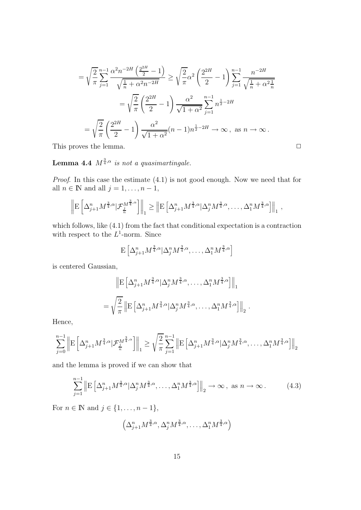$$
= \sqrt{\frac{2}{\pi}} \sum_{j=1}^{n-1} \frac{\alpha^2 n^{-2H} \left(\frac{2^{2H}}{2} - 1\right)}{\sqrt{\frac{1}{n} + \alpha^2 n^{-2H}}} \ge \sqrt{\frac{2}{\pi}} \alpha^2 \left(\frac{2^{2H}}{2} - 1\right) \sum_{j=1}^{n-1} \frac{n^{-2H}}{\sqrt{\frac{1}{n} + \alpha^2 \frac{1}{n}}}
$$

$$
= \sqrt{\frac{2}{\pi}} \left(\frac{2^{2H}}{2} - 1\right) \frac{\alpha^2}{\sqrt{1 + \alpha^2}} \sum_{j=1}^{n-1} n^{\frac{1}{2} - 2H}
$$

$$
= \sqrt{\frac{2}{\pi}} \left(\frac{2^{2H}}{2} - 1\right) \frac{\alpha^2}{\sqrt{1 + \alpha^2}} (n - 1) n^{\frac{1}{2} - 2H} \to \infty, \text{ as } n \to \infty.
$$
This proves the lemma.

**Lemma 4.4**  $M^{\frac{3}{4},\alpha}$  is not a quasimartingale.

Proof. In this case the estimate (4.1) is not good enough. Now we need that for all  $n \in \mathbb{N}$  and all  $j = 1, \ldots, n - 1$ ,

$$
\left\| \mathbf{E} \left[ \Delta_{j+1}^n M^{\frac{3}{4},\alpha} | \mathcal{F}_{\frac{j}{n}}^{M^{\frac{3}{4},\alpha}} \right] \right\|_1 \geq \left\| \mathbf{E} \left[ \Delta_{j+1}^n M^{\frac{3}{4},\alpha} | \Delta_j^n M^{\frac{3}{4},\alpha}, \dots, \Delta_1^n M^{\frac{3}{4},\alpha} \right] \right\|_1,
$$

which follows, like (4.1) from the fact that conditional expectation is a contraction with respect to the  $L^1$ -norm. Since

$$
\mathbf{E}\left[\Delta_{j+1}^n M^{\frac{3}{4},\alpha} |\Delta_j^n M^{\frac{3}{4},\alpha}, \dots, \Delta_1^n M^{\frac{3}{4},\alpha}\right]
$$

is centered Gaussian,

$$
\| \mathbf{E} \left[ \Delta_{j+1}^n M^{\frac{3}{4}, \alpha} | \Delta_j^n M^{\frac{3}{4}, \alpha}, \dots, \Delta_1^n M^{\frac{3}{4}, \alpha} \right] \|_1
$$
  
=  $\sqrt{\frac{2}{\pi}} \left\| \mathbf{E} \left[ \Delta_{j+1}^n M^{\frac{3}{4}, \alpha} | \Delta_j^n M^{\frac{3}{4}, \alpha}, \dots, \Delta_1^n M^{\frac{3}{4}, \alpha} \right] \right\|_2$ 

.<br>.

Hence,

$$
\sum_{j=0}^{n-1} \left\| \mathbf{E} \left[ \Delta_{j+1}^n M^{\frac{3}{4},\alpha} | \mathcal{F}_{\frac{j}{n}}^{M^{\frac{3}{4},\alpha}} \right] \right\|_1 \ge \sqrt{\frac{2}{\pi}} \sum_{j=1}^{n-1} \left\| \mathbf{E} \left[ \Delta_{j+1}^n M^{\frac{3}{4},\alpha} | \Delta_j^n M^{\frac{3}{4},\alpha}, \dots, \Delta_1^n M^{\frac{3}{4},\alpha} \right] \right\|_2
$$

and the lemma is proved if we can show that

$$
\sum_{j=1}^{n-1} \left\| \mathbf{E} \left[ \Delta_{j+1}^n M^{\frac{3}{4}, \alpha} | \Delta_j^n M^{\frac{3}{4}, \alpha}, \dots, \Delta_1^n M^{\frac{3}{4}, \alpha} \right] \right\|_2 \to \infty, \text{ as } n \to \infty.
$$
 (4.3)

For  $n \in \mathbb{N}$  and  $j \in \{1, \ldots, n-1\}$ ,

$$
\left(\Delta_{j+1}^n M^{\frac{3}{4},\alpha}, \Delta_j^n M^{\frac{3}{4},\alpha}, \ldots, \Delta_1^n M^{\frac{3}{4},\alpha}\right)
$$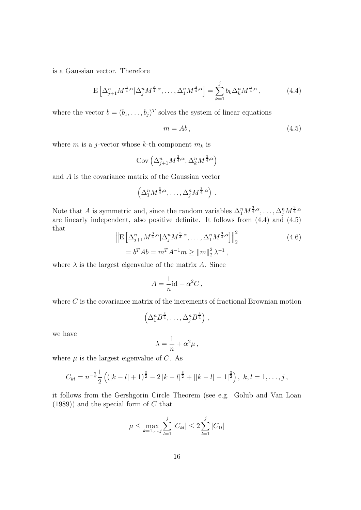is a Gaussian vector. Therefore

$$
E\left[\Delta_{j+1}^n M^{\frac{3}{4},\alpha} |\Delta_j^n M^{\frac{3}{4},\alpha}, \dots, \Delta_1^n M^{\frac{3}{4},\alpha}\right] = \sum_{k=1}^j b_k \Delta_k^n M^{\frac{3}{4},\alpha},\tag{4.4}
$$

where the vector  $b = (b_1, \ldots, b_j)^T$  solves the system of linear equations

$$
m = Ab,\t\t(4.5)
$$

where m is a j-vector whose k-th component  $m_k$  is

$$
Cov\left(\Delta_{j+1}^n M^{\frac{3}{4}, \alpha}, \Delta_k^n M^{\frac{3}{4}, \alpha}\right)
$$

and A is the covariance matrix of the Gaussian vector

$$
\left(\Delta_1^n M^{\frac{3}{4},\alpha}, \ldots, \Delta_j^n M^{\frac{3}{4},\alpha}\right) .
$$

Note that A is symmetric and, since the random variables  $\Delta_1^n M^{\frac{3}{4},\alpha}, \ldots, \Delta_j^n M^{\frac{3}{4},\alpha}$ are linearly independent, also positive definite. It follows from (4.4) and (4.5) that

$$
\left\| \mathcal{E} \left[ \Delta_{j+1}^n M^{\frac{3}{4}, \alpha} | \Delta_j^n M^{\frac{3}{4}, \alpha}, \dots, \Delta_1^n M^{\frac{3}{4}, \alpha} \right] \right\|_2^2
$$
\n
$$
= b^T A b = m^T A^{-1} m \ge ||m||_2^2 \lambda^{-1},
$$
\n(4.6)

where  $\lambda$  is the largest eigenvalue of the matrix A. Since

$$
A = \frac{1}{n} \mathrm{id} + \alpha^2 C \,,
$$

where  $C$  is the covariance matrix of the increments of fractional Brownian motion

$$
\left(\Delta_1^n B^{\frac{3}{4}}, \ldots, \Delta_j^n B^{\frac{3}{4}}\right) ,
$$

we have

$$
\lambda = \frac{1}{n} + \alpha^2 \mu \,,
$$

where  $\mu$  is the largest eigenvalue of C. As

$$
C_{kl} = n^{-\frac{3}{2}} \frac{1}{2} \left( (|k-l|+1)^{\frac{3}{2}} - 2 |k-l|^{\frac{3}{2}} + ||k-l| - 1|^{\frac{3}{2}} \right), \ k, l = 1, \ldots, j,
$$

it follows from the Gershgorin Circle Theorem (see e.g. Golub and Van Loan  $(1989)$ ) and the special form of C that

$$
\mu \le \max_{k=1,\dots,j} \sum_{l=1}^j |C_{kl}| \le 2 \sum_{l=1}^j |C_{1l}|
$$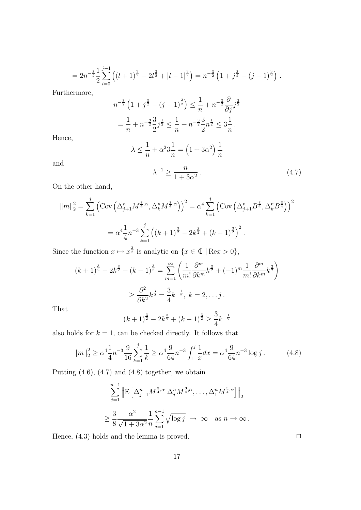$$
=2n^{-\frac{3}{2}}\frac{1}{2}\sum_{l=0}^{j-1}\left((l+1)^{\frac{3}{2}}-2l^{\frac{3}{2}}+|l-1|^{\frac{3}{2}}\right)=n^{-\frac{3}{2}}\left(1+j^{\frac{3}{2}}-(j-1)^{\frac{3}{2}}\right).
$$

Furthermore,

$$
n^{-\frac{3}{2}} \left( 1 + j^{\frac{3}{2}} - (j - 1)^{\frac{3}{2}} \right) \le \frac{1}{n} + n^{-\frac{3}{2}} \frac{\partial}{\partial j} j^{\frac{3}{2}}
$$
  
= 
$$
\frac{1}{n} + n^{-\frac{3}{2}} \frac{3}{2} j^{\frac{1}{2}} \le \frac{1}{n} + n^{-\frac{3}{2}} \frac{3}{2} n^{\frac{1}{2}} \le 3 \frac{1}{n}.
$$

Hence,

$$
\lambda \le \frac{1}{n} + \alpha^2 3\frac{1}{n} = \left(1 + 3\alpha^2\right)\frac{1}{n}
$$

and

$$
\lambda^{-1} \ge \frac{n}{1 + 3\alpha^2} \,. \tag{4.7}
$$

On the other hand,

$$
||m||_2^2 = \sum_{k=1}^j \left( \text{Cov} \left( \Delta_{j+1}^n M^{\frac{3}{4}, \alpha}, \Delta_k^n M^{\frac{3}{4}, \alpha} \right) \right)^2 = \alpha^4 \sum_{k=1}^j \left( \text{Cov} \left( \Delta_{j+1}^n B^{\frac{3}{4}}, \Delta_k^n B^{\frac{3}{4}} \right) \right)^2
$$
  
=  $\alpha^4 \frac{1}{4} n^{-3} \sum_{k=1}^j \left( (k+1)^{\frac{3}{2}} - 2k^{\frac{3}{2}} + (k-1)^{\frac{3}{2}} \right)^2$ .

Since the function  $x \mapsto x^{\frac{3}{2}}$  is analytic on  $\{x \in \mathbb{C} \mid \text{Re} x > 0\},\$ 

$$
(k+1)^{\frac{3}{2}} - 2k^{\frac{3}{2}} + (k-1)^{\frac{3}{2}} = \sum_{m=1}^{\infty} \left( \frac{1}{m!} \frac{\partial^m}{\partial k^m} k^{\frac{3}{2}} + (-1)^m \frac{1}{m!} \frac{\partial^m}{\partial k^m} k^{\frac{3}{2}} \right)
$$

$$
\geq \frac{\partial^2}{\partial k^2} k^{\frac{3}{2}} = \frac{3}{4} k^{-\frac{1}{2}}, \ k = 2, \dots j.
$$

That

$$
(k+1)^{\frac{3}{2}} - 2k^{\frac{3}{2}} + (k-1)^{\frac{3}{2}} \ge \frac{3}{4}k^{-\frac{1}{2}}
$$

also holds for  $k = 1$ , can be checked directly. It follows that

$$
\|m\|_2^2 \ge \alpha^4 \frac{1}{4} n^{-3} \frac{9}{16} \sum_{k=1}^j \frac{1}{k} \ge \alpha^4 \frac{9}{64} n^{-3} \int_1^j \frac{1}{x} dx = \alpha^4 \frac{9}{64} n^{-3} \log j. \tag{4.8}
$$

Putting (4.6), (4.7) and (4.8) together, we obtain

$$
\sum_{j=1}^{n-1} \left\| \mathcal{E} \left[ \Delta_{j+1}^n M^{\frac{3}{4}, \alpha} | \Delta_j^n M^{\frac{3}{4}, \alpha}, \dots, \Delta_1^n M^{\frac{3}{4}, \alpha} \right] \right\|_2
$$
  

$$
\geq \frac{3}{8} \frac{\alpha^2}{\sqrt{1 + 3\alpha^2}} \frac{1}{n} \sum_{j=1}^{n-1} \sqrt{\log j} \rightarrow \infty \quad \text{as } n \to \infty.
$$

Hence,  $(4.3)$  holds and the lemma is proved.  $\Box$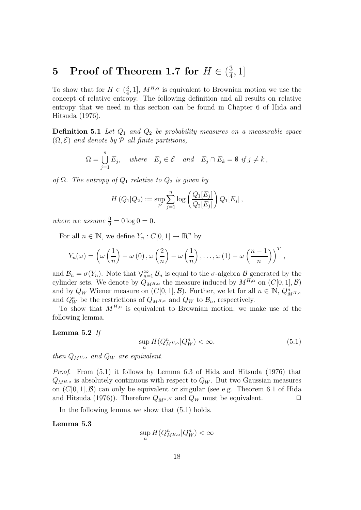# **5** Proof of Theorem 1.7 for  $H \in (\frac{3}{4}, 1]$

To show that for  $H \in (\frac{3}{4}, 1]$ ,  $M^{H,\alpha}$  is equivalent to Brownian motion we use the concept of relative entropy. The following definition and all results on relative entropy that we need in this section can be found in Chapter 6 of Hida and Hitsuda (1976).

**Definition 5.1** Let  $Q_1$  and  $Q_2$  be probability measures on a measurable space  $(\Omega, \mathcal{E})$  and denote by  $\mathcal{P}$  all finite partitions,

$$
\Omega = \bigcup_{j=1}^{n} E_j, \quad where \quad E_j \in \mathcal{E} \quad and \quad E_j \cap E_k = \emptyset \text{ if } j \neq k,
$$

of  $\Omega$ . The entropy of  $Q_1$  relative to  $Q_2$  is given by

$$
H(Q_1|Q_2) := \sup_{\mathcal{P}} \sum_{j=1}^n \log \left( \frac{Q_1[E_j]}{Q_2[E_j]} \right) Q_1[E_j],
$$

where we assume  $\frac{0}{0} = 0 \log 0 = 0$ .

For all  $n \in \mathbb{N}$ , we define  $Y_n : C[0,1] \to \mathbb{R}^n$  by

$$
Y_n(\omega) = \left(\omega\left(\frac{1}{n}\right) - \omega(0), \omega\left(\frac{2}{n}\right) - \omega\left(\frac{1}{n}\right), \ldots, \omega(1) - \omega\left(\frac{n-1}{n}\right)\right)^T,
$$

and  $\mathcal{B}_n = \sigma(Y_n)$ . Note that  $\bigvee_{n=1}^{\infty} \mathcal{B}_n$  is equal to the  $\sigma$ -algebra  $\mathcal{B}$  generated by the cylinder sets. We denote by  $Q_{M^{H,\alpha}}$  the measure induced by  $M^{H,\alpha}$  on  $(C[0, 1], \mathcal{B})$ and by  $Q_W$  Wiener measure on  $(C[0, 1], \mathcal{B})$ . Further, we let for all  $n \in \mathbb{N}$ ,  $Q^n_{M^{H,\alpha}}$ and  $Q_W^n$  be the restrictions of  $Q_{M^{H,\alpha}}$  and  $Q_W$  to  $\mathcal{B}_n$ , respectively.

To show that  $M^{H,\alpha}$  is equivalent to Brownian motion, we make use of the following lemma.

#### **Lemma 5.2** If

$$
\sup_{n} H(Q_{M^{H,\alpha}}^n | Q_W^n) < \infty,\tag{5.1}
$$

then  $Q_{M^{H,\alpha}}$  and  $Q_W$  are equivalent.

Proof. From (5.1) it follows by Lemma 6.3 of Hida and Hitsuda (1976) that  $Q_{M^{H,\alpha}}$  is absolutely continuous with respect to  $Q_W$ . But two Gaussian measures on  $(C[0, 1], \mathcal{B})$  can only be equivalent or singular (see e.g. Theorem 6.1 of Hida and Hitsuda (1976)). Therefore  $Q_{M^{\alpha,H}}$  and  $Q_W$  must be equivalent.

In the following lemma we show that (5.1) holds.

#### **Lemma 5.3**

 $\sup_n H(Q_{M^{H,\alpha}}^n | Q_W^n) < \infty$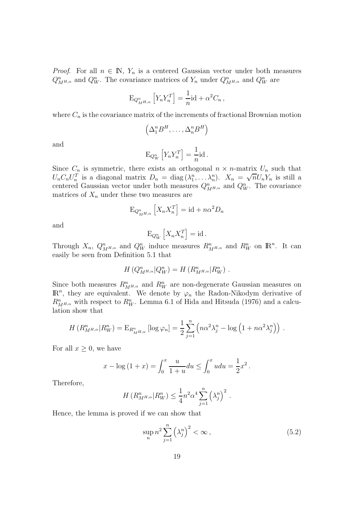*Proof.* For all  $n \in \mathbb{N}$ ,  $Y_n$  is a centered Gaussian vector under both measures  $Q_{M^{H,\alpha}}^n$  and  $Q_W^n$ . The covariance matrices of  $Y_n$  under  $Q_{M^{H,\alpha}}^n$  and  $Q_W^n$  are

$$
\mathrm{E}_{Q_{M^{H,\alpha}}^{n}}\left[Y_{n}Y_{n}^{T}\right]=\frac{1}{n}\mathrm{id}+\alpha^{2}C_{n},
$$

where  $C_n$  is the covariance matrix of the increments of fractional Brownian motion

$$
\left(\Delta_1^n B^H,\ldots,\Delta_n^n B^H\right)
$$

and

$$
\mathrm{E}_{Q_W^n} \left[ Y_n Y_n^T \right] = \frac{1}{n} \mathrm{id} \, .
$$

Since  $C_n$  is symmetric, there exists an orthogonal  $n \times n$ -matrix  $U_n$  such that Since  $C_n$  is symmetric, there exists an orthogonal  $n \times n$ -matrix  $C_n$  such that  $U_n C_n U_n^T$  is a diagonal matrix  $D_n = \text{diag}(\lambda_1^n, \dots, \lambda_n^n)$ .  $X_n = \sqrt{n} U_n Y_n$  is still a centered Gaussian vector under both measures  $Q_{M^{H,\alpha}}^n$  and  $Q_W^n$ . The covariance matrices of  $X_n$  under these two measures are

$$
\mathrm{E}_{Q_{M^{H,\alpha}}^{n}}\left[X_{n}X_{n}^{T}\right]=\mathrm{id}+n\alpha^{2}D_{n}
$$

and

$$
\mathrm{E}_{Q_W^n}\left[X_n X_n^T\right] = \mathrm{id} \, .
$$

Through  $X_n$ ,  $Q^n_{M^{H,\alpha}}$  and  $Q^n_W$  induce measures  $R^n_{M^{H,\alpha}}$  and  $R^n_W$  on  $\mathbb{R}^n$ . It can easily be seen from Definition 5.1 that

$$
H(Q_{M^{H,\alpha}}^n|Q_W^n) = H(R_{M^{H,\alpha}}^n|R_W^n).
$$

Since both measures  $R_{M^{H,\alpha}}^n$  and  $R_W^n$  are non-degenerate Gaussian measures on  $\mathbb{R}^n$ , they are equivalent. We denote by  $\varphi_n$  the Radon-Nikodym derivative of  $R_{M^{H,\alpha}}^{n}$  with respect to  $R_{W}^{n}$ . Lemma 6.1 of Hida and Hitsuda (1976) and a calculation show that

$$
H(R_{M^{H,\alpha}}^n|R_W^n) = \mathrm{E}_{R_{M^{H,\alpha}}^n}[\log \varphi_n] = \frac{1}{2} \sum_{j=1}^n \left( n\alpha^2 \lambda_j^n - \log \left(1 + n\alpha^2 \lambda_j^n\right) \right).
$$

For all  $x \geq 0$ , we have

$$
x - \log(1 + x) = \int_0^x \frac{u}{1 + u} du \le \int_0^x u du = \frac{1}{2}x^2.
$$

Therefore,

$$
H(R_{M^{H,\alpha}}^n|R_W^n) \leq \frac{1}{4}n^2\alpha^4 \sum_{j=1}^n (\lambda_j^n)^2.
$$

Hence, the lemma is proved if we can show that

$$
\sup_{n} n^{2} \sum_{j=1}^{n} \left(\lambda_{j}^{n}\right)^{2} < \infty \,,\tag{5.2}
$$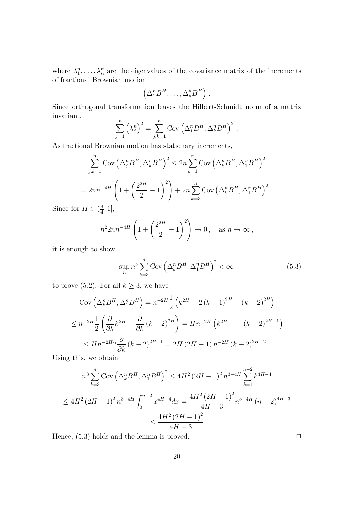where  $\lambda_1^n, \ldots, \lambda_n^n$  are the eigenvalues of the covariance matrix of the increments of fractional Brownian motion

$$
(\Delta_1^n B^H, \ldots, \Delta_n^n B^H).
$$

Since orthogonal transformation leaves the Hilbert-Schmidt norm of a matrix invariant,

$$
\sum_{j=1}^{n} (\lambda_j^n)^2 = \sum_{j,k=1}^{n} \text{Cov} (\Delta_j^n B^H, \Delta_k^n B^H)^2.
$$

As fractional Brownian motion has stationary increments,

$$
\sum_{j,k=1}^{n} \text{Cov} \left(\Delta_j^n B^H, \Delta_k^n B^H\right)^2 \le 2n \sum_{k=1}^{n} \text{Cov} \left(\Delta_k^n B^H, \Delta_1^n B^H\right)^2
$$
  
=  $2n n^{-4H} \left(1 + \left(\frac{2^{2H}}{2} - 1\right)^2\right) + 2n \sum_{k=3}^{n} \text{Cov} \left(\Delta_k^n B^H, \Delta_1^n B^H\right)^2$ .

Since for  $H \in (\frac{3}{4}, 1],$ 

$$
n^2 2n n^{-4H} \left( 1 + \left( \frac{2^{2H}}{2} - 1 \right)^2 \right) \to 0, \quad \text{as } n \to \infty,
$$

it is enough to show

$$
\sup_{n} n^{3} \sum_{k=3}^{n} \text{Cov}\left(\Delta_{k}^{n} B^{H}, \Delta_{1}^{n} B^{H}\right)^{2} < \infty \tag{5.3}
$$

to prove (5.2). For all  $k \geq 3$ , we have

$$
\text{Cov}\left(\Delta_k^n B^H, \Delta_1^n B^H\right) = n^{-2H} \frac{1}{2} \left(k^{2H} - 2\left(k - 1\right)^{2H} + \left(k - 2\right)^{2H}\right)
$$
\n
$$
\leq n^{-2H} \frac{1}{2} \left(\frac{\partial}{\partial k} k^{2H} - \frac{\partial}{\partial k} \left(k - 2\right)^{2H}\right) = H n^{-2H} \left(k^{2H-1} - \left(k - 2\right)^{2H-1}\right)
$$
\n
$$
\leq H n^{-2H} 2 \frac{\partial}{\partial k} \left(k - 2\right)^{2H-1} = 2H \left(2H - 1\right) n^{-2H} \left(k - 2\right)^{2H-2}.
$$

Using this, we obtain

$$
n^3 \sum_{k=3}^{n} \text{Cov} \left(\Delta_k^n B^H, \Delta_1^n B^H\right)^2 \le 4H^2 \left(2H - 1\right)^2 n^{3-4H} \sum_{k=1}^{n-2} k^{4H-4}
$$
  

$$
\le 4H^2 \left(2H - 1\right)^2 n^{3-4H} \int_0^{n-2} x^{4H-4} dx = \frac{4H^2 \left(2H - 1\right)^2}{4H - 3} n^{3-4H} \left(n - 2\right)^{4H-3}
$$
  

$$
\le \frac{4H^2 \left(2H - 1\right)^2}{4H - 3}
$$

Hence,  $(5.3)$  holds and the lemma is proved.  $\Box$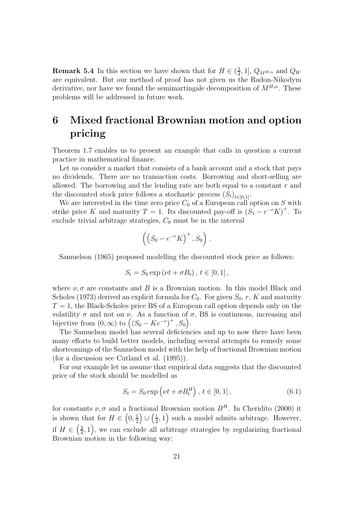**Remark 5.4** In this section we have shown that for  $H \in (\frac{3}{4}, 1], Q_{M^{H,\alpha}}$  and  $Q_W$ are equivalent. But our method of proof has not given us the Radon-Nikodym derivative, nor have we found the semimartingale decomposition of  $M^{H,\alpha}$ . These problems will be addressed in future work.

## **6 Mixed fractional Brownian motion and option pricing**

Theorem 1.7 enables us to present an example that calls in question a current practice in mathematical finance.

Let us consider a market that consists of a bank account and a stock that pays no dividends. There are no transaction costs. Borrowing and short-selling are allowed. The borrowing and the lending rate are both equal to a constant  $r$  and the discounted stock price follows a stochastic process  $(S_t)_{t\in[0,1]}$ .

We are interested in the time zero price  $C_0$  of a European call option on S with strike price K and maturity  $T = 1$ . Its discounted pay-off is  $(S_1 - e^{-r}K)^+$ . To exclude trivial arbitrage strategies,  $C_0$  must be in the interval

$$
\left(\left(S_0 - e^{-r}K\right)^+, S_0\right) \, .
$$

Samuelson (1965) proposed modelling the discounted stock price as follows:

$$
S_t = S_0 \exp(\nu t + \sigma B_t), t \in [0, 1],
$$

where  $\nu$ ,  $\sigma$  are constants and B is a Brownian motion. In this model Black and Scholes (1973) derived an explicit formula for  $C_0$ . For given  $S_0$ , r, K and maturity  $T = 1$ , the Black-Scholes price BS of a European call option depends only on the volatility  $\sigma$  and not on  $\nu$ . As a function of  $\sigma$ , BS is continuous, increasing and bijective from  $(0, \infty)$  to  $((S_0 - Ke^{-r})^+, S_0)$ .

The Samuelson model has several deficiencies and up to now there have been many efforts to build better models, including several attempts to remedy some shortcomings of the Samuelson model with the help of fractional Brownian motion (for a discussion see Cutland et al. (1995)).

For our example let us assume that empirical data suggests that the discounted price of the stock should be modelled as

$$
S_t = S_0 \exp(\nu t + \sigma B_t^H), \ t \in [0, 1], \tag{6.1}
$$

for constants  $\nu$ ,  $\sigma$  and a fractional Brownian motion  $B<sup>H</sup>$ . In Cheridito (2000) it is shown that for  $H \in \left(0, \frac{1}{2}\right) \cup \left(\frac{1}{2}, 1\right)$  such a model admits arbitrage. However, if  $H \in \left(\frac{3}{4}, 1\right)$ , we can exclude all arbitrage strategies by regularizing fractional Brownian motion in the following way: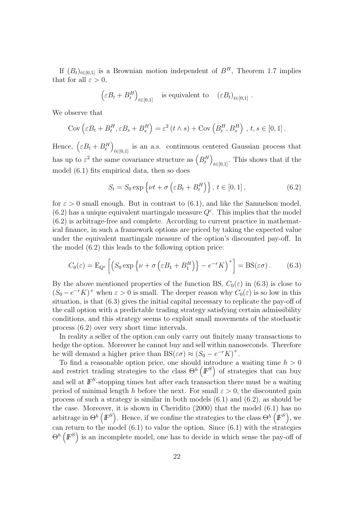If  $(B_t)_{t\in[0,1]}$  is a Brownian motion independent of  $B^H$ , Theorem 1.7 implies that for all  $\varepsilon > 0$ ,

$$
(\varepsilon B_t + B_t^H)_{t \in [0,1]}
$$
 is equivalent to 
$$
(\varepsilon B_t)_{t \in [0,1]}.
$$

We observe that

$$
Cov\left(\varepsilon B_t + B_t^H, \varepsilon B_s + B_s^H\right) = \varepsilon^2 \left(t \wedge s\right) + Cov\left(B_t^H, B_s^H\right), \, t, s \in [0, 1].
$$

Hence,  $(\varepsilon B_t + B_t^H)_{t \in [0,1]}$  is an a.s. continuous centered Gaussian process that has up to  $\varepsilon^2$  the same covariance structure as  $\left(B_t^H\right)$  $t \in [0,1]$ . This shows that if the model (6.1) fits empirical data, then so does

$$
S_t = S_0 \exp\left\{\nu t + \sigma\left(\varepsilon B_t + B_t^H\right)\right\}, \ t \in [0, 1], \tag{6.2}
$$

for  $\varepsilon > 0$  small enough. But in contrast to (6.1), and like the Samuelson model, (6.2) has a unique equivalent martingale measure  $Q^{\varepsilon}$ . This implies that the model (6.2) is arbitrage-free and complete. According to current practice in mathematical finance, in such a framework options are priced by taking the expected value under the equivalent martingale measure of the option's discounted pay-off. In the model (6.2) this leads to the following option price:

$$
C_0(\varepsilon) = \mathcal{E}_{Q^{\varepsilon}} \left[ \left( S_0 \exp \left\{ \nu + \sigma \left( \varepsilon B_1 + B_1^H \right) \right\} - e^{-r} K \right)^+ \right] = \text{BS}(\varepsilon \sigma). \tag{6.3}
$$

By the above mentioned properties of the function BS,  $C_0(\varepsilon)$  in (6.3) is close to  $(S_0 - e^{-r}K)^+$  when  $\varepsilon > 0$  is small. The deeper reason why  $C_0(\varepsilon)$  is so low in this situation, is that (6.3) gives the initial capital necessary to replicate the pay-off of the call option with a predictable trading strategy satisfying certain admissibility conditions, and this strategy seems to exploit small movements of the stochastic process (6.2) over very short time intervals.

In reality a seller of the option can only carry out finitely many transactions to hedge the option. Moreover he cannot buy and sell within nanoseconds. Therefore he will demand a higher price than  $BS(\varepsilon\sigma) \approx (S_0 - e^{-r}K)^+$ .

To find a reasonable option price, one should introduce a waiting time  $h > 0$ and restrict trading strategies to the class  $\Theta^h(F^S)$  of strategies that can buy and sell at  $\mathbb{F}^S$ -stopping times but after each transaction there must be a waiting period of minimal length h before the next. For small  $\varepsilon > 0$ , the discounted gain process of such a strategy is similar in both models (6.1) and (6.2), as should be the case. Moreover, it is shown in Cheridito (2000) that the model (6.1) has no arbitrage in  $\Theta^h$   $(F^S)$ . Hence, if we confine the strategies to the class  $\Theta^h$   $(F^S)$ , we can return to the model (6.1) to value the option. Since (6.1) with the strategies  $\Theta^h\left(\mathbb{F}^S\right)$  is an incomplete model, one has to decide in which sense the pay-off of